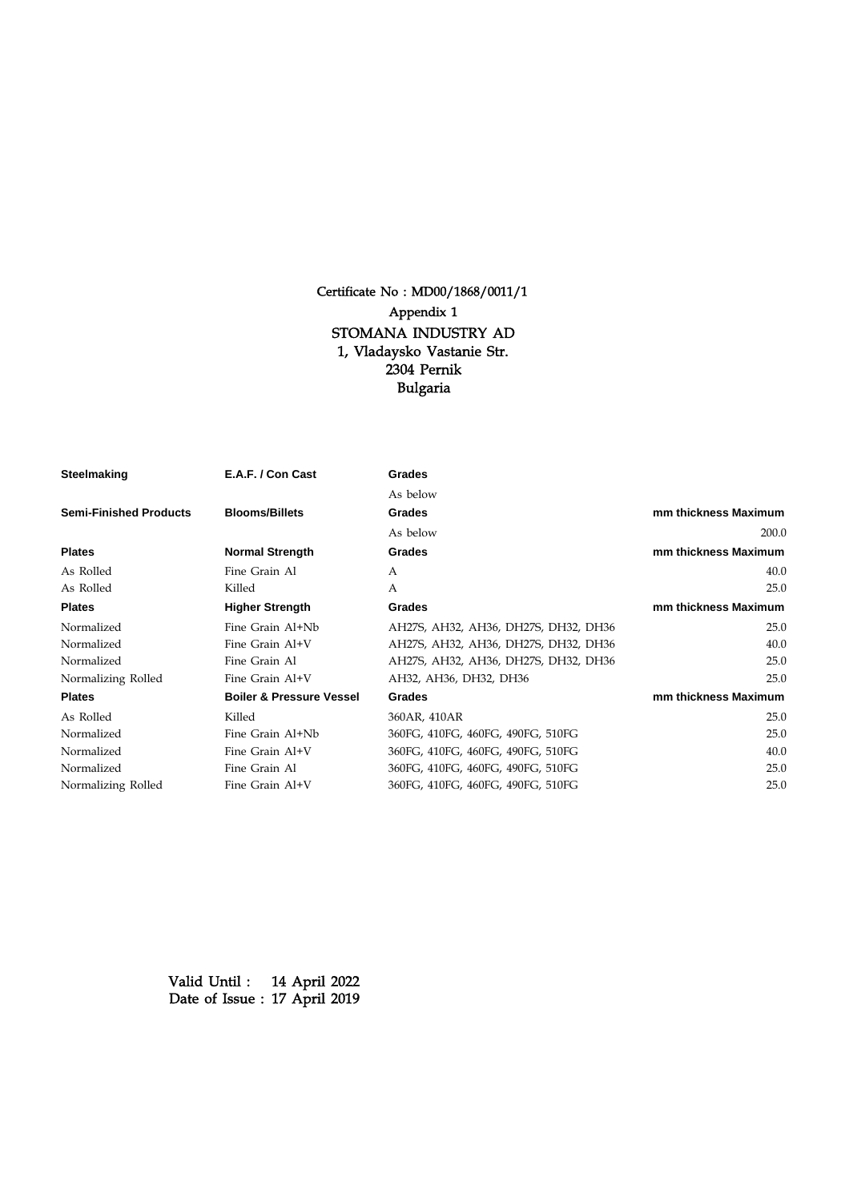

Certificate No : MD00/1868/0011/1

2304 Pernik Bulgaria 1, Vladaysko Vastanie Str. STOMANA INDUSTRY AD

has been approved as a manufacturer in accordance with the requirements of Lloyd's Register for :-

## Steelmaking, Semi-Finished Products and Plates

This approval is subject to compliance with the Rules for the Manufacture, Testing and Certification of Materials. The full details of the processes and grades to which this approval applies are given in the Appendix of this certificate.

Lloyd's Register is to be notified of any change that may affect the validity of this Certificate.

This Certificate is issued to the above manufacturer and is valid until the date given below.

14 April 2022 17 April 2019 Date of Issue : Valid Until :

 **Lili Hou** Senior Specialist to Lloyd's Register EMEA A member of the Lloyd's Register group

A member of the Lloyd's Register group. Lloyd's Register Group Limited, its affiliates and subsidiaries and their respective officers, employees or agents are, individually and collectively, referred to in this clause as 'Lloyd's Register'. Lloyd's Register assumes no responsibility and shall not be liable to any person for any loss, damage or expense caused by reliance on the information or advice in this document or howsoever provided, unless that person has signed a contract with the relevant Lloyd's Register entity for the provision of this information or advice and in that case any responsibility or liability is exclusively on the terms and conditions set out in that contract.